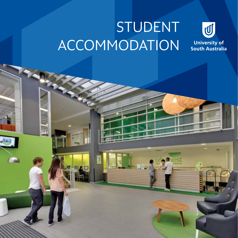# STUDENT ACCOMMODATION

E

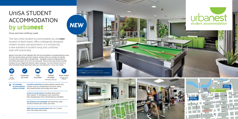# UniSA STUDENT ACCOMMODATION by urba**nest**

### *Prices start from A\$199 per week*

The new UniSA Student Accommodation by urbanest located on Bank Street, offers intelligently designed, modern studios and apartments. It is introducing a new standard of student living that combines style with practicality.

Based in the heart of the Adelaide CBD, the accommodation is situated directly across from the central railway and tram stations, and bus links to a number of suburbs. It's only a five minute walk to Rundle Mall – Adelaide's premier shopping district – and within easy reach of our two city campuses. There is also easy access to public transport for our Magill and Mawson Lakes campuses. You can choose to live in a fully-furnished shared apartment with your own bathroom, or your own studio.

> *Excellent amenities* including wireless internet and reverse-cycle air conditioning in all rooms, along with shared kitchen and lounge room areas.

> > **FRANKLIN ST**

**GROTE ST**

**MORPHETTE** 

**WAKEFIELD ST**

**GOUGER ST**

**ANGAS ST**

**BYRON PL**

**WEST TCE**





**CENTRAL BUS STATION**

*Access to social spaces* including study rooms, iMac stations, TV and games room, social hub, fully-equipped gym and a shared balcony with BBQs.

*All-inclusive rent packages* with electricity, water, 100GB of internet per month, and more.

*Safe and secure environment* with a 24/7 onsite team with swipe card access.

*All urbanest accommodation options include:* 

| $\widehat{\mathbf{z}}$     |                       |                    |                                                  |                                         |
|----------------------------|-----------------------|--------------------|--------------------------------------------------|-----------------------------------------|
| WiFi<br>100GB<br>per month | Inspected<br>by UniSA | Fully<br>furnished | Utilities<br>included<br>electricity, water, gas | Book online<br>through UniSA<br>website |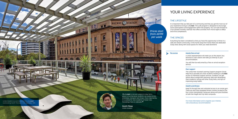### *The extras Hassle free arrival*

A UniSA representative will meet you at the airport, bus terminal or train station and take you directly to your accommodation.

You will then be welcomed by a free on arrival reception service.

#### *Peer support*

The UniSA Peer Assisted Learning Support program (Study Help PALS) provides all UniSA students residing at urbanest access to individual support services. Students can get advice about assignment planning, help with developing their academic writing and other study skills, and tips on improving study habits.

UniSA Student Accommodation by urbanest and the Adelaide. "<br>
overlooking North Terrace in the Adelaide CBD.<br>
The Contract of the Adelaide. The Contract of the Adelaide. The Contract of the Adelaide. The Contract of the Ade overlooking North Terrace in the Adelaide CBD.

#### *Health and fitness*

Keep fit through free and unlimited access to an onsite gym. There are also fully-equipped fitness centres located at the four UniSA metropolitan campuses along with pool facilities at both the Magill and City West campuses.



## THE LIFESTYLE

It is important that you feel part of a community and that you get the most out of your experience living at urbanest. The uLife program is designed to encourage active participation and engagement within the property. You can look forward to a fun-packed monthly calendar that offers activities from movie nights to BBQs and trivia competitions.

## THE SPACES

Everything has been considered so that you have the opportunity to thrive in a safe and vibrant community. In this home away from home there are dedicated study areas along with social spaces for when you need downtime.

> For more information and to register your interest, visit *unisa.edu.au/accommodation*



*Scott Chow UniSA student*

## YOUR LIVING EXPERIENCE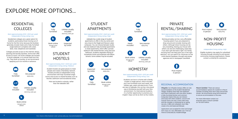## RESIDENTIAL COLLEGES

#### *Rent approximately \$330–\$510 per week Independent living rating: Low*

Residential colleges are a great option for students, particularly those moving out of home for the first time, because the facilities generally include meals and a fully-furnished single bedroom complete with a bed, desk, chair, telephone and wardrobe.

Colleges provide access to the internet, library, sporting and laundry facilities. Some even offer access to tutors. All of the colleges are located in North Adelaide, a 10 minute walk from the city. They book up quickly, so we recommend applying up to six months in advance.

## STUDENT **HOSTELS**

## HOMESTAY

#### *Rent approximately \$250–\$310 per week Independent living rating: Low*

Students can live in a home with a family, couple or single person, which includes your own furnished room and meals, and utilities (gas, water and electricity). If you are new to Adelaide, this can be a very good way to familiarise yourself with your new environment. For international students, it's a further opportunity to practise your English. Stays can be as short as four weeks.

*Rent approximately \$140–\$200 per week Independent living rating: Medium*

Student hostels are great places to meet people and create a friendship network. Hostels provide an independent living environment with fully-furnished single rooms and access to shared facilities such as kitchen, bathroom and recreational areas.

> Most are located in suburbs, rather than the Adelaide CBD.

# PRIVATE RENTAL/SHARING

### *Rent approximately \$120–\$350 per week Independent living rating: High*

Renting privately can be a very affordable housing option if you are prepared to shop around and consider sharing with others. Although share-housing can be very rewarding, sharing your house with others can also be challenging, especially if you don't get the basics right. Our handy Housing FAQs will help point you in the right direction. You can search for vacancies on the UniSA Rental Database, through real estate agencies and in newspaper classifieds.



*Rent approximately \$150–\$460 per week Independent living rating: High*

Adelaide has a wide range of student apartments on offer in the city centre and very close to the Magill and Mawson Lakes campuses. You can choose between studio and one-bedroom fully furnished apartments or share apartments, which offer a private bedroom with shared kitchen, living area and bathroom. Students negotiate sharing of household chores and expenses with fellow tenants. Some utilities may be included.





Meals included



included *electricity, water, gas*

Meals included *apply early*





Book online *through UniSA website* Utilities usually included *electricity, water, gas*

## NON-PROFIT HOUSING

#### *Independent living rating: High*

Eligible students may apply for subsidised housing through Housing SA and several community housing organisations. Please contact us directly for assistance.







Very popular *apply early*



Book online *through UniSA website*

Fully furnished



*website*



Utilities usually included *electricity, water, gas*

B



# EXPLORE MORE OPTIONS...

## REGIONAL ACCOMMODATION



by UniSA

*Whyalla:* Our Whyalla Campus offers on-site accommodation at the Student Residential Village. Students have their own bedroom and share a bathroom with one other student. A fully-furnished kitchen and common living area means that you can interact and study with other students. Lecture and tutorial rooms are only a short walk away and the complex is monitored by on-going security. A BBQ and volleyball court help create a fun and balanced lifestyle.

Applications are accepted for short and longer term stays at a very affordable cost. Find out more at *unisa.edu.au/studentvillage*

*Mount Gambier:* There are various accommodation options for students in Mount Gambier including short-term stays and private rentals. We recommend using local resources to secure accommodation in the area.

For more information contact our enquiries team in Mount Gambier on +61 8 8721 8900*.*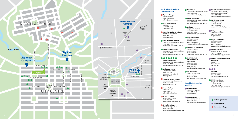

#### **North Adelaide and City Centre Locations**

**1** Aquinas College

*aquinas.edu.au* +61 8 8334 5000 admin@aquinas.edu.au

<sup>2</sup> **Atira Student Living** *atira.com* +61 8 7071 0885 hello@atira.com

<sup>3</sup> **Australian Lutheran College** *alc.edu.au/residential* +61 8 7120 8200 alc@alc.edu.au

<sup>4</sup> **Bent Street Apartments** *unilodge.com.au/accommodation* +61 8 8385 9007 studentliving@unilodge.com.au

<sup>5</sup> **East West Apartments** *unilodge.com.au/accommodation* +61 8 8385 9007 studentliving@unilodge.com.au

6 7 8 <sup>9</sup><sup>10</sup><sup>11</sup><sup>12</sup>

**E-dge Townhouses** *unilodge.com.au/accommodation* +61 8 8385 9007 studentliving@unilodge.com.au

<sup>13</sup> **Globe Apartments** *unityhousing.org.au* +61 8 8100 0400 globeapartments@unity housing.org.au

<sup>14</sup> **Kathleen Lumley College** *kathleenlumleycollege.com.au* +61 8 8267 3270 klc@adelaide.edu.au

<sup>15</sup> **Lincoln College** *lincoln.edu.au* +61 8 8290 6000 admin@lincoln.edu.au

<sup>16</sup> **St Ann's College** *stannscollege.edu.au* +61 8 8267 1478 info@stannscollege.edu.au

<sup>17</sup> **St Mark's College** *stmarkscollege.com.au* +61 8 8334 5600 stmarks@stmarkscollege.com.au +61 8 8212 0666

studentservices@auspm.com

#### **Adelaide Metropolitan Locations**

<sup>18</sup> **Tobin House** *unilodge.com.au/accommodation* +61 8 8385 9007 studentliving@unilodge.com.au <sup>19</sup> **Tower Apartments** *unilodge.com.au/accommodation* <sup>28</sup> **Hartley Apartments** +61 8 8385 9007 studentliving@unilodge.com.au <sup>20</sup> **Unihouse** *auspm.com/studentaccommodation/* +61 8 8212 0666 studentservices@auspm.com <sup>21</sup> **UniLodge@Metro** *unilodge.com.au/ accommodation* +61 8 8385 9000 metroadelaide@unilodge.com.au <sup>22</sup> **Unilodge on Waymouth** *unilodge.com.au/ accommodation* +61 8 8211 9999 onwaymouth@unilodge.com.au <sup>23</sup> **UniSA Student Accommodation by urbanest** *urbanest.com.au* +61 2 8091 9959 1800 260 801 enquiries@urbanest.com.au <sup>24</sup> **UV Apartments** *auspm.com/studentaccommodation* <sup>27</sup> **Gosse International Residence** *studentresidence.com.au student-accommodation/* +61 8 8357 9386 info@studentresidence.com.au *unilodge.com.au/ accommodation* +61 8 8385 9007 studentliving@unilodge.com.au <sup>29</sup> **Highgate Lodge** *aiv.com.au/highgate* +61 8 8331 0866 aiv@aiv.com.au <sup>30</sup> **Magill Apartments** *unilodge.com.au/ accommodation* +61 8 8385 9007 studentliving@unilodge.com.au <sup>31</sup> **Semaphore House** *semaphorehouse.com.au* +61 8 8449 3195 semaphorehouse@gmail.com **23** Torrens Valley International **Residence** *tvir.biz* +61 8 8161 2724 tvir@tvir.biz <sup>33</sup><sup>34</sup><sup>35</sup> **Unishare** *unishare.com.au* +61 4 0649 9963

#### <sup>25</sup> **Bradford Lodge** *aiv.com.au/bradford* +61 8 8331 0866 aiv@aiv.com.au

<sup>26</sup> **Elm Tree Lodge** *elmtreelodge.com.au* +61 8 8372 2500 admin@elmtreelodge.com.au **Student Apartment Student Hostel** 

landlord@unishare.com.au

<sup>36</sup> **UV Mawson Lakes** *auspm.com/studentaccommodation* +61 8 8212 0666

studentservices@auspm.com

**Residential College**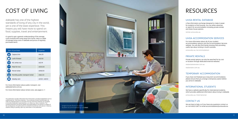# COST OF LIVING

Adelaide has one of the highest standards of living of any city in the world, yet is one of the least expensive. This means you will have more to spend on food, supplies, travel and entertainment.

It's good to get a general understanding of the average costs involved with living away from home. Here is a table of average living costs in Adelaide and prices of regularly purchased items.

## UniSA RENTAL DATABASE

A free information exchange designed to make it easier for students to find housing. You can either advertise or search for accommodation including private rentals and share-house options.

rental.unisa.edu.au

## UniSA ACCOMMODATION SERVICES

For more information about all of your student accommodation options visit the Accommodation Services website. You will also find handy Housing FAQs providing useful tips about renting in South Australia.

This publication includes information from third parties, including budgetdirect.com.au (collectively the 'Third Party Materials'). The University of South Australia does not make any representations or warranties that the Third Party Materials are complete or accurate, endorsed or sponsored by us, or reflect our views or opinions. The University disclaims all and any liability and responsibility to any person in respect of the consequences of anything done or omitted to be done by such person in reliance, whether wholly or partially, upon any information in this publication.

unisa.edu.au/accommodation

### PRIVATE RENTALS

Private rental options can also be searched for by cost or location through dedicated external websites.

realestatereview.com.au

realestate.com.au

## TEMPORARY ACCOMMODATION

If you have not finalised your long-term accommodation, please ensure that you arrange a temporary option before you arrive in Adelaide.

### INTERNATIONAL STUDENTS

We have a website specifically for international students, which provides additional information about living in Adelaide.

unisa.edu.au/international

## CONTACT US

We are here to help, so if you have any questions contact us on +61 8 8302 0877 or email *accommodation@unisa.edu.au*

# RESOURCES

For more information about public transport, visit *adelaidemetro.com.au*

For more information about rental costs, see pages 6–7.

| Item of purchase                | <b>Expense</b> |
|---------------------------------|----------------|
| Cappuccino                      | A\$4.20        |
| Loaf of bread                   | A\$2.50        |
| 1KG white rice                  | A\$3.19        |
| Meal for two                    | A\$35.00       |
| Movie ticket                    | A\$18.00       |
| Monthly public transport ticket | A\$62.2O       |
| Weekly rent                     | A\$12O-A\$51O  |